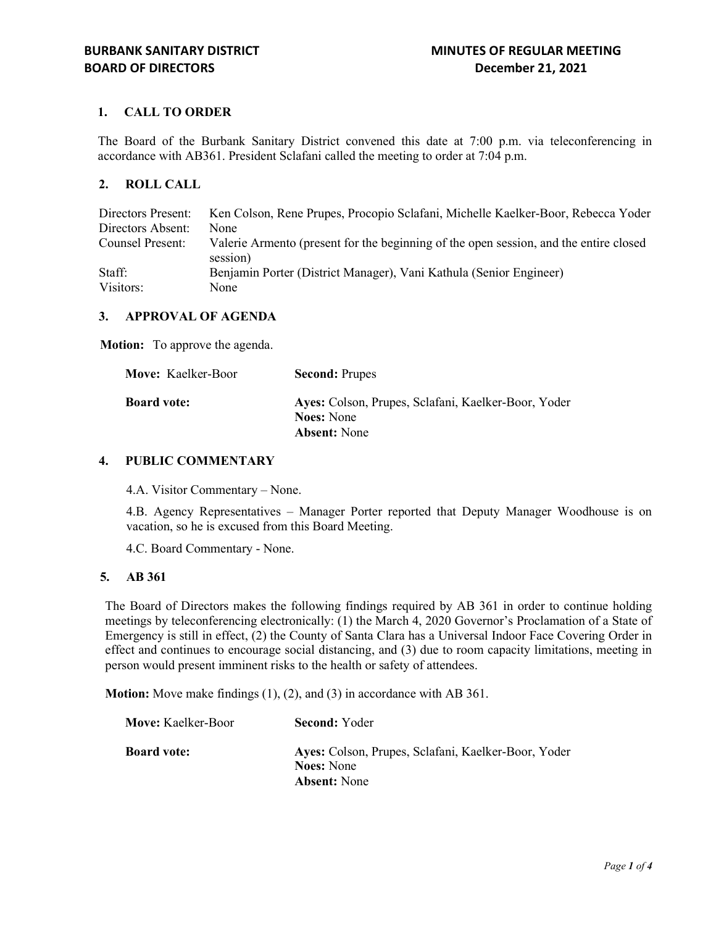# 1. CALL TO ORDER

The Board of the Burbank Sanitary District convened this date at 7:00 p.m. via teleconferencing in accordance with AB361. President Sclafani called the meeting to order at 7:04 p.m.

## 2. ROLL CALL

| Directors Present:      | Ken Colson, Rene Prupes, Procopio Sclafani, Michelle Kaelker-Boor, Rebecca Yoder                  |
|-------------------------|---------------------------------------------------------------------------------------------------|
| Directors Absent:       | None                                                                                              |
| <b>Counsel Present:</b> | Valerie Armento (present for the beginning of the open session, and the entire closed<br>session) |
| Staff:                  | Benjamin Porter (District Manager), Vani Kathula (Senior Engineer)                                |
| Visitors:               | None                                                                                              |

#### 3. APPROVAL OF AGENDA

Motion: To approve the agenda.

| <b>Move:</b> Kaelker-Boor | <b>Second: Prupes</b>                                                    |
|---------------------------|--------------------------------------------------------------------------|
| <b>Board vote:</b>        | Ayes: Colson, Prupes, Sclafani, Kaelker-Boor, Yoder<br><b>Noes:</b> None |
|                           | <b>Absent:</b> None                                                      |

#### 4. PUBLIC COMMENTARY

4.A. Visitor Commentary – None.

4.B. Agency Representatives – Manager Porter reported that Deputy Manager Woodhouse is on vacation, so he is excused from this Board Meeting.

4.C. Board Commentary - None.

#### 5. AB 361

The Board of Directors makes the following findings required by AB 361 in order to continue holding meetings by teleconferencing electronically: (1) the March 4, 2020 Governor's Proclamation of a State of Emergency is still in effect, (2) the County of Santa Clara has a Universal Indoor Face Covering Order in effect and continues to encourage social distancing, and (3) due to room capacity limitations, meeting in person would present imminent risks to the health or safety of attendees.

Motion: Move make findings (1), (2), and (3) in accordance with AB 361.

| <b>Move:</b> Kaelker-Boor | <b>Second:</b> Yoder                                                                            |
|---------------------------|-------------------------------------------------------------------------------------------------|
| <b>Board vote:</b>        | Ayes: Colson, Prupes, Sclafani, Kaelker-Boor, Yoder<br><b>Noes:</b> None<br><b>Absent:</b> None |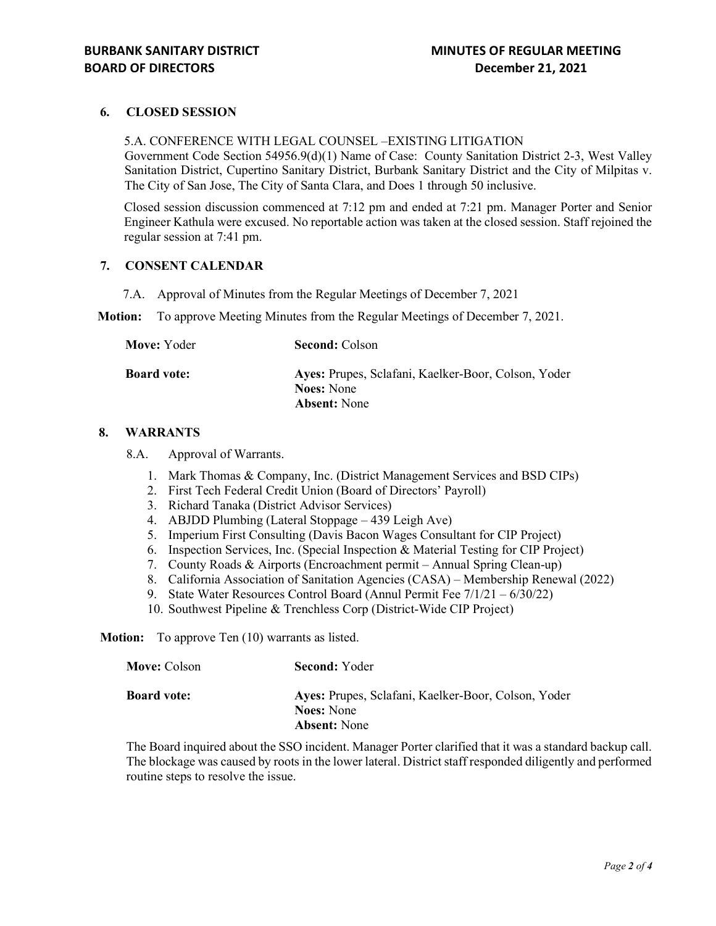# 6. CLOSED SESSION

5.A. CONFERENCE WITH LEGAL COUNSEL –EXISTING LITIGATION Government Code Section 54956.9(d)(1) Name of Case: County Sanitation District 2-3, West Valley Sanitation District, Cupertino Sanitary District, Burbank Sanitary District and the City of Milpitas v. The City of San Jose, The City of Santa Clara, and Does 1 through 50 inclusive.

Closed session discussion commenced at 7:12 pm and ended at 7:21 pm. Manager Porter and Senior Engineer Kathula were excused. No reportable action was taken at the closed session. Staff rejoined the regular session at 7:41 pm.

## 7. CONSENT CALENDAR

- 7.A. Approval of Minutes from the Regular Meetings of December 7, 2021
- Motion: To approve Meeting Minutes from the Regular Meetings of December 7, 2021.

| Move: Yoder        | <b>Second: Colson</b>                                                    |
|--------------------|--------------------------------------------------------------------------|
| <b>Board vote:</b> | Ayes: Prupes, Sclafani, Kaelker-Boor, Colson, Yoder<br><b>Noes:</b> None |
|                    | <b>Absent:</b> None                                                      |

#### 8. WARRANTS

8.A. Approval of Warrants.

- 1. Mark Thomas & Company, Inc. (District Management Services and BSD CIPs)
- 2. First Tech Federal Credit Union (Board of Directors' Payroll)
- 3. Richard Tanaka (District Advisor Services)
- 4. ABJDD Plumbing (Lateral Stoppage 439 Leigh Ave)
- 5. Imperium First Consulting (Davis Bacon Wages Consultant for CIP Project)
- 6. Inspection Services, Inc. (Special Inspection & Material Testing for CIP Project)
- 7. County Roads & Airports (Encroachment permit Annual Spring Clean-up)
- 8. California Association of Sanitation Agencies (CASA) Membership Renewal (2022)
- 9. State Water Resources Control Board (Annul Permit Fee 7/1/21 6/30/22)
- 10. Southwest Pipeline & Trenchless Corp (District-Wide CIP Project)

Motion: To approve Ten (10) warrants as listed.

| <b>Move:</b> Colson | <b>Second: Yoder</b>                                                                            |
|---------------------|-------------------------------------------------------------------------------------------------|
| <b>Board vote:</b>  | Ayes: Prupes, Sclafani, Kaelker-Boor, Colson, Yoder<br><b>Noes:</b> None<br><b>Absent:</b> None |

The Board inquired about the SSO incident. Manager Porter clarified that it was a standard backup call. The blockage was caused by roots in the lower lateral. District staff responded diligently and performed routine steps to resolve the issue.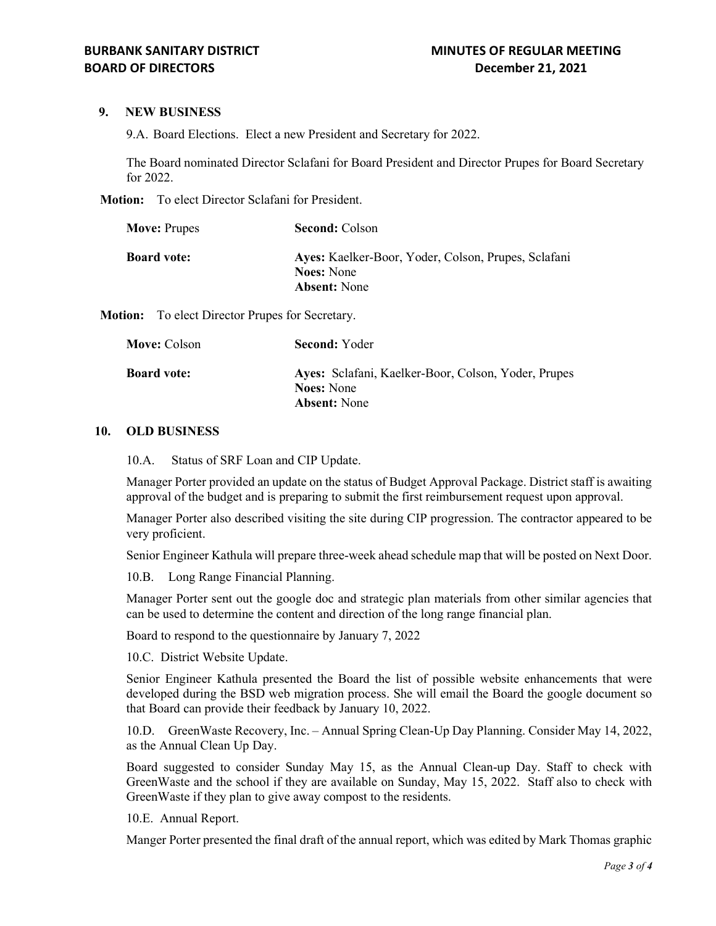### 9. NEW BUSINESS

9.A. Board Elections. Elect a new President and Secretary for 2022.

The Board nominated Director Sclafani for Board President and Director Prupes for Board Secretary for 2022.

Motion: To elect Director Sclafani for President.

| <b>Move: Prupes</b> | <b>Second: Colson</b>                                                                           |
|---------------------|-------------------------------------------------------------------------------------------------|
| <b>Board vote:</b>  | Ayes: Kaelker-Boor, Yoder, Colson, Prupes, Sclafani<br><b>Noes:</b> None<br><b>Absent:</b> None |

Motion: To elect Director Prupes for Secretary.

| <b>Move:</b> Colson | <b>Second:</b> Yoder                                                                            |
|---------------------|-------------------------------------------------------------------------------------------------|
| <b>Board vote:</b>  | Ayes: Sclafani, Kaelker-Boor, Colson, Yoder, Prupes<br><b>Noes:</b> None<br><b>Absent:</b> None |

## 10. OLD BUSINESS

10.A. Status of SRF Loan and CIP Update.

Manager Porter provided an update on the status of Budget Approval Package. District staff is awaiting approval of the budget and is preparing to submit the first reimbursement request upon approval.

Manager Porter also described visiting the site during CIP progression. The contractor appeared to be very proficient.

Senior Engineer Kathula will prepare three-week ahead schedule map that will be posted on Next Door.

10.B. Long Range Financial Planning.

Manager Porter sent out the google doc and strategic plan materials from other similar agencies that can be used to determine the content and direction of the long range financial plan.

Board to respond to the questionnaire by January 7, 2022

10.C. District Website Update.

Senior Engineer Kathula presented the Board the list of possible website enhancements that were developed during the BSD web migration process. She will email the Board the google document so that Board can provide their feedback by January 10, 2022.

10.D. GreenWaste Recovery, Inc. – Annual Spring Clean-Up Day Planning. Consider May 14, 2022, as the Annual Clean Up Day.

Board suggested to consider Sunday May 15, as the Annual Clean-up Day. Staff to check with GreenWaste and the school if they are available on Sunday, May 15, 2022. Staff also to check with GreenWaste if they plan to give away compost to the residents.

10.E. Annual Report.

Manger Porter presented the final draft of the annual report, which was edited by Mark Thomas graphic